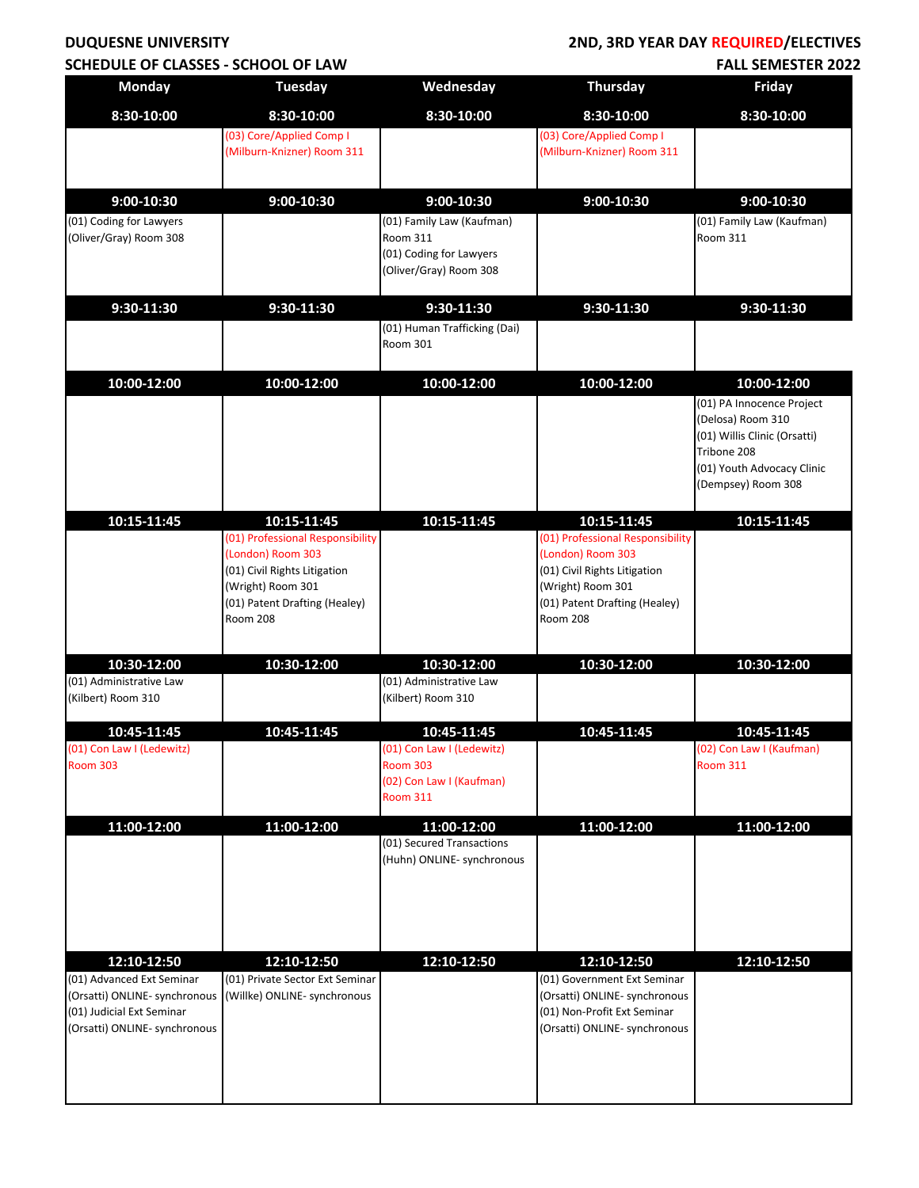## **DUQUESNE UNIVERSITY SCHEDULE OF CLASSES - SCHOOL OF LAW**

#### **2ND, 3RD YEAR DAY REQUIRED/ELECTIVES FALL SEMESTER 2022**

| <b>Monday</b>                                              | <b>Tuesday</b>                                    | Wednesday                                   | <b>Thursday</b>                                              | <b>Friday</b>                               |
|------------------------------------------------------------|---------------------------------------------------|---------------------------------------------|--------------------------------------------------------------|---------------------------------------------|
| 8:30-10:00                                                 | 8:30-10:00                                        | 8:30-10:00                                  | 8:30-10:00                                                   | 8:30-10:00                                  |
|                                                            | (03) Core/Applied Comp I                          |                                             | (03) Core/Applied Comp I                                     |                                             |
|                                                            | (Milburn-Knizner) Room 311                        |                                             | (Milburn-Knizner) Room 311                                   |                                             |
|                                                            |                                                   |                                             |                                                              |                                             |
| 9:00-10:30                                                 | $9:00-10:30$                                      | $9:00-10:30$                                | 9:00-10:30                                                   | $9:00-10:30$                                |
| (01) Coding for Lawyers<br>(Oliver/Gray) Room 308          |                                                   | (01) Family Law (Kaufman)<br>Room 311       |                                                              | (01) Family Law (Kaufman)<br>Room 311       |
|                                                            |                                                   | (01) Coding for Lawyers                     |                                                              |                                             |
|                                                            |                                                   | (Oliver/Gray) Room 308                      |                                                              |                                             |
| 9:30-11:30                                                 | 9:30-11:30                                        | 9:30-11:30                                  | 9:30-11:30                                                   | 9:30-11:30                                  |
|                                                            |                                                   | (01) Human Trafficking (Dai)                |                                                              |                                             |
|                                                            |                                                   | Room 301                                    |                                                              |                                             |
| 10:00-12:00                                                | 10:00-12:00                                       | 10:00-12:00                                 | 10:00-12:00                                                  | 10:00-12:00                                 |
|                                                            |                                                   |                                             |                                                              | (01) PA Innocence Project                   |
|                                                            |                                                   |                                             |                                                              | (Delosa) Room 310                           |
|                                                            |                                                   |                                             |                                                              | (01) Willis Clinic (Orsatti)<br>Tribone 208 |
|                                                            |                                                   |                                             |                                                              | (01) Youth Advocacy Clinic                  |
|                                                            |                                                   |                                             |                                                              | (Dempsey) Room 308                          |
| 10:15-11:45                                                | 10:15-11:45                                       | 10:15-11:45                                 | 10:15-11:45                                                  | 10:15-11:45                                 |
|                                                            | (01) Professional Responsibility                  |                                             | (01) Professional Responsibility                             |                                             |
|                                                            | (London) Room 303<br>(01) Civil Rights Litigation |                                             | (London) Room 303<br>(01) Civil Rights Litigation            |                                             |
|                                                            | (Wright) Room 301                                 |                                             | (Wright) Room 301                                            |                                             |
|                                                            | (01) Patent Drafting (Healey)                     |                                             | (01) Patent Drafting (Healey)                                |                                             |
|                                                            | <b>Room 208</b>                                   |                                             | <b>Room 208</b>                                              |                                             |
| 10:30-12:00                                                | 10:30-12:00                                       | 10:30-12:00                                 | 10:30-12:00                                                  | 10:30-12:00                                 |
| (01) Administrative Law                                    |                                                   | (01) Administrative Law                     |                                                              |                                             |
| (Kilbert) Room 310                                         |                                                   | (Kilbert) Room 310                          |                                                              |                                             |
| 10:45-11:45                                                | 10:45-11:45                                       | 10:45-11:45                                 | 10:45-11:45                                                  | 10:45-11:45                                 |
| (01) Con Law I (Ledewitz)                                  |                                                   | (01) Con Law I (Ledewitz)                   |                                                              | (02) Con Law I (Kaufman)                    |
| <b>Room 303</b>                                            |                                                   | <b>Room 303</b><br>(02) Con Law I (Kaufman) |                                                              | <b>Room 311</b>                             |
|                                                            |                                                   | <b>Room 311</b>                             |                                                              |                                             |
| 11:00-12:00                                                | 11:00-12:00                                       | 11:00-12:00                                 | 11:00-12:00                                                  | 11:00-12:00                                 |
|                                                            |                                                   | (01) Secured Transactions                   |                                                              |                                             |
|                                                            |                                                   | (Huhn) ONLINE- synchronous                  |                                                              |                                             |
|                                                            |                                                   |                                             |                                                              |                                             |
|                                                            |                                                   |                                             |                                                              |                                             |
| 12:10-12:50                                                | 12:10-12:50                                       | 12:10-12:50                                 | 12:10-12:50                                                  | 12:10-12:50                                 |
| (01) Advanced Ext Seminar                                  | (01) Private Sector Ext Seminar                   |                                             | (01) Government Ext Seminar                                  |                                             |
| (Orsatti) ONLINE- synchronous                              | (Willke) ONLINE- synchronous                      |                                             | (Orsatti) ONLINE- synchronous                                |                                             |
| (01) Judicial Ext Seminar<br>(Orsatti) ONLINE- synchronous |                                                   |                                             | (01) Non-Profit Ext Seminar<br>(Orsatti) ONLINE- synchronous |                                             |
|                                                            |                                                   |                                             |                                                              |                                             |
|                                                            |                                                   |                                             |                                                              |                                             |
|                                                            |                                                   |                                             |                                                              |                                             |
|                                                            |                                                   |                                             |                                                              |                                             |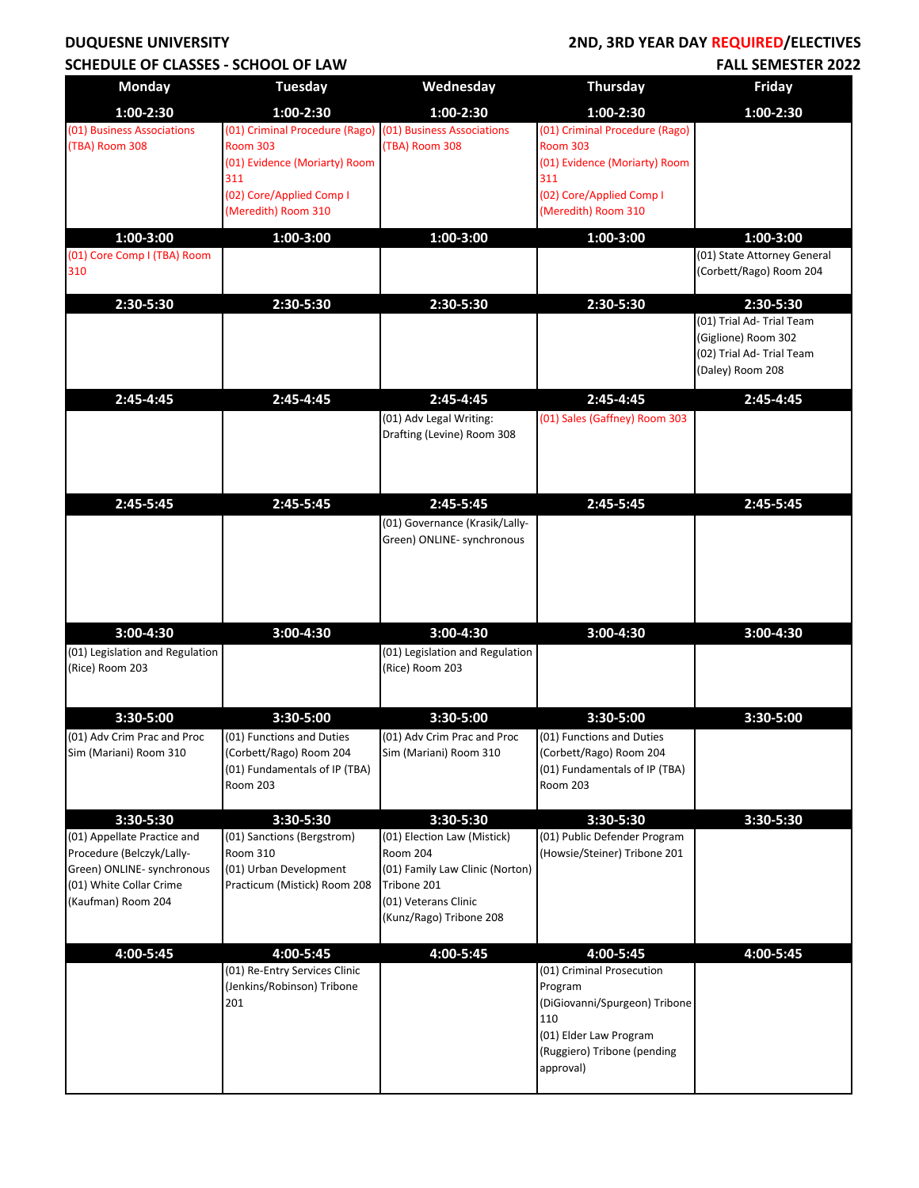#### **DUQUESNE UNIVERSITY SCHEDULE OF CLASSES - SCHOOL OF LAW**

## **2ND, 3RD YEAR DAY REQUIRED/ELECTIVES FALL SEMESTER 2022**

|                                                                                                                                                      | UL CLAJJLJ - JUHUUL                                                                                                                              |                                                                                                                                                                  |                                                                                                                                                    |                                                                                                   |
|------------------------------------------------------------------------------------------------------------------------------------------------------|--------------------------------------------------------------------------------------------------------------------------------------------------|------------------------------------------------------------------------------------------------------------------------------------------------------------------|----------------------------------------------------------------------------------------------------------------------------------------------------|---------------------------------------------------------------------------------------------------|
| <b>Monday</b>                                                                                                                                        | <b>Tuesday</b>                                                                                                                                   | Wednesday                                                                                                                                                        | <b>Thursday</b>                                                                                                                                    | <b>Friday</b>                                                                                     |
| 1:00-2:30                                                                                                                                            | 1:00-2:30                                                                                                                                        | $1:00-2:30$                                                                                                                                                      | $1:00-2:30$                                                                                                                                        | 1:00-2:30                                                                                         |
| (01) Business Associations<br>(TBA) Room 308                                                                                                         | (01) Criminal Procedure (Rago) (01) Business Associations<br><b>Room 303</b><br>(01) Evidence (Moriarty) Room<br>311<br>(02) Core/Applied Comp I | (TBA) Room 308                                                                                                                                                   | (01) Criminal Procedure (Rago)<br><b>Room 303</b><br>(01) Evidence (Moriarty) Room<br>311<br>(02) Core/Applied Comp I                              |                                                                                                   |
|                                                                                                                                                      | (Meredith) Room 310                                                                                                                              |                                                                                                                                                                  | (Meredith) Room 310                                                                                                                                |                                                                                                   |
| 1:00-3:00                                                                                                                                            | 1:00-3:00                                                                                                                                        | $1:00 - 3:00$                                                                                                                                                    | $1:00 - 3:00$                                                                                                                                      | $1:00 - 3:00$                                                                                     |
| (01) Core Comp I (TBA) Room<br>310                                                                                                                   |                                                                                                                                                  |                                                                                                                                                                  |                                                                                                                                                    | (01) State Attorney General<br>(Corbett/Rago) Room 204                                            |
| 2:30-5:30                                                                                                                                            | 2:30-5:30                                                                                                                                        | 2:30-5:30                                                                                                                                                        | 2:30-5:30                                                                                                                                          | 2:30-5:30                                                                                         |
|                                                                                                                                                      |                                                                                                                                                  |                                                                                                                                                                  |                                                                                                                                                    | (01) Trial Ad- Trial Team<br>(Giglione) Room 302<br>(02) Trial Ad- Trial Team<br>(Daley) Room 208 |
| 2:45-4:45                                                                                                                                            | 2:45-4:45                                                                                                                                        | 2:45-4:45<br>(01) Adv Legal Writing:<br>Drafting (Levine) Room 308                                                                                               | 2:45-4:45<br>(01) Sales (Gaffney) Room 303                                                                                                         | 2:45-4:45                                                                                         |
| 2:45-5:45                                                                                                                                            | 2:45-5:45                                                                                                                                        | 2:45-5:45                                                                                                                                                        | 2:45-5:45                                                                                                                                          | 2:45-5:45                                                                                         |
|                                                                                                                                                      |                                                                                                                                                  | (01) Governance (Krasik/Lally-<br>Green) ONLINE- synchronous                                                                                                     |                                                                                                                                                    |                                                                                                   |
| 3:00-4:30<br>(01) Legislation and Regulation<br>(Rice) Room 203                                                                                      | 3:00-4:30                                                                                                                                        | 3:00-4:30<br>(01) Legislation and Regulation<br>(Rice) Room 203                                                                                                  | 3:00-4:30                                                                                                                                          | 3:00-4:30                                                                                         |
| 3:30-5:00                                                                                                                                            | 3:30-5:00                                                                                                                                        | 3:30-5:00                                                                                                                                                        | 3:30-5:00                                                                                                                                          | $3:30 - 5:00$                                                                                     |
| (01) Adv Crim Prac and Proc<br>Sim (Mariani) Room 310                                                                                                | (01) Functions and Duties<br>(Corbett/Rago) Room 204<br>(01) Fundamentals of IP (TBA)<br><b>Room 203</b>                                         | (01) Adv Crim Prac and Proc<br>Sim (Mariani) Room 310                                                                                                            | (01) Functions and Duties<br>(Corbett/Rago) Room 204<br>(01) Fundamentals of IP (TBA)<br>Room 203                                                  |                                                                                                   |
|                                                                                                                                                      |                                                                                                                                                  |                                                                                                                                                                  | 3:30-5:30                                                                                                                                          |                                                                                                   |
| 3:30-5:30<br>(01) Appellate Practice and<br>Procedure (Belczyk/Lally-<br>Green) ONLINE- synchronous<br>(01) White Collar Crime<br>(Kaufman) Room 204 | 3:30-5:30<br>(01) Sanctions (Bergstrom)<br>Room 310<br>(01) Urban Development<br>Practicum (Mistick) Room 208                                    | 3:30-5:30<br>(01) Election Law (Mistick)<br><b>Room 204</b><br>(01) Family Law Clinic (Norton)<br>Tribone 201<br>(01) Veterans Clinic<br>(Kunz/Rago) Tribone 208 | (01) Public Defender Program<br>(Howsie/Steiner) Tribone 201                                                                                       | 3:30-5:30                                                                                         |
| 4:00-5:45                                                                                                                                            | 4:00-5:45                                                                                                                                        | 4:00-5:45                                                                                                                                                        | 4:00-5:45                                                                                                                                          | 4:00-5:45                                                                                         |
|                                                                                                                                                      | (01) Re-Entry Services Clinic<br>(Jenkins/Robinson) Tribone<br>201                                                                               |                                                                                                                                                                  | (01) Criminal Prosecution<br>Program<br>(DiGiovanni/Spurgeon) Tribone<br>110<br>(01) Elder Law Program<br>(Ruggiero) Tribone (pending<br>approval) |                                                                                                   |